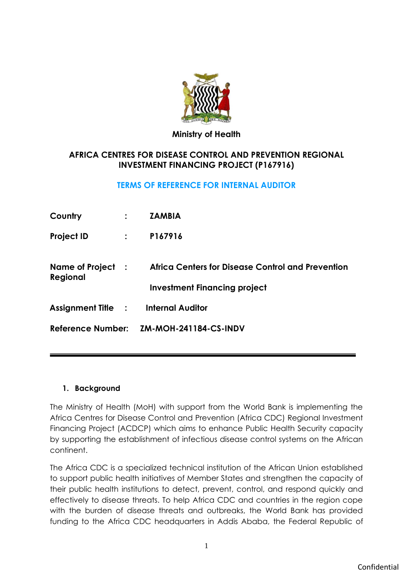

### **Ministry of Health**

# **AFRICA CENTRES FOR DISEASE CONTROL AND PREVENTION REGIONAL INVESTMENT FINANCING PROJECT (P167916)**

# **TERMS OF REFERENCE FOR INTERNAL AUDITOR**

| Country                                    |               | <b>ZAMBIA</b>                                                                            |
|--------------------------------------------|---------------|------------------------------------------------------------------------------------------|
| <b>Project ID</b>                          | $\mathcal{L}$ | P167916                                                                                  |
| Name of Project :<br>Regional              |               | Africa Centers for Disease Control and Prevention<br><b>Investment Financing project</b> |
| <b>Assignment Title : Internal Auditor</b> |               |                                                                                          |
|                                            |               | Reference Number: ZM-MOH-241184-CS-INDV                                                  |

### **1. Background**

The Ministry of Health (MoH) with support from the World Bank is implementing the Africa Centres for Disease Control and Prevention (Africa CDC) Regional Investment Financing Project (ACDCP) which aims to enhance Public Health Security capacity by supporting the establishment of infectious disease control systems on the African continent.

The Africa CDC is a specialized technical institution of the African Union established to support public health initiatives of Member States and strengthen the capacity of their public health institutions to detect, prevent, control, and respond quickly and effectively to disease threats. To help Africa CDC and countries in the region cope with the burden of disease threats and outbreaks, the World Bank has provided funding to the Africa CDC headquarters in Addis Ababa, the Federal Republic of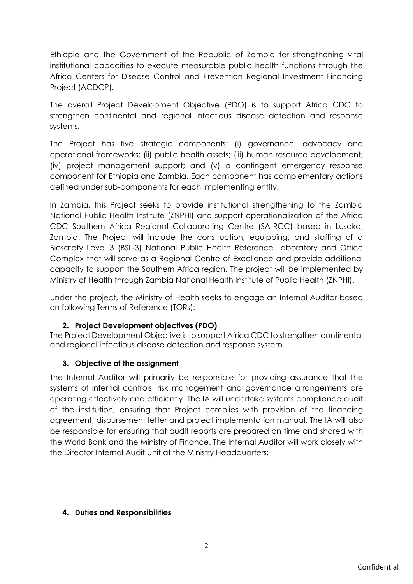Ethiopia and the Government of the Republic of Zambia for strengthening vital institutional capacities to execute measurable public health functions through the Africa Centers for Disease Control and Prevention Regional Investment Financing Project (ACDCP).

The overall Project Development Objective (PDO) is to support Africa CDC to strengthen continental and regional infectious disease detection and response systems.

The Project has five strategic components: (i) governance, advocacy and operational frameworks; (ii) public health assets; (iii) human resource development; (iv) project management support; and (v) a contingent emergency response component for Ethiopia and Zambia. Each component has complementary actions defined under sub-components for each implementing entity.

In Zambia, this Project seeks to provide institutional strengthening to the Zambia National Public Health Institute (ZNPHI) and support operationalization of the Africa CDC Southern Africa Regional Collaborating Centre (SA-RCC) based in Lusaka, Zambia. The Project will include the construction, equipping, and staffing of a Biosafety Level 3 (BSL-3) National Public Health Reference Laboratory and Office Complex that will serve as a Regional Centre of Excellence and provide additional capacity to support the Southern Africa region. The project will be implemented by Ministry of Health through Zambia National Health Institute of Public Health (ZNPHI).

Under the project, the Ministry of Health seeks to engage an Internal Auditor based on following Terms of Reference (TORs):

# **2. Project Development objectives (PDO)**

The Project Development Objective is to support Africa CDC to strengthen continental and regional infectious disease detection and response system.

# **3. Objective of the assignment**

The Internal Auditor will primarily be responsible for providing assurance that the systems of internal controls, risk management and governance arrangements are operating effectively and efficiently. The IA will undertake systems compliance audit of the institution, ensuring that Project complies with provision of the financing agreement, disbursement letter and project implementation manual. The IA will also be responsible for ensuring that audit reports are prepared on time and shared with the World Bank and the Ministry of Finance. The Internal Auditor will work closely with the Director Internal Audit Unit at the Ministry Headquarters:

# **4. Duties and Responsibilities**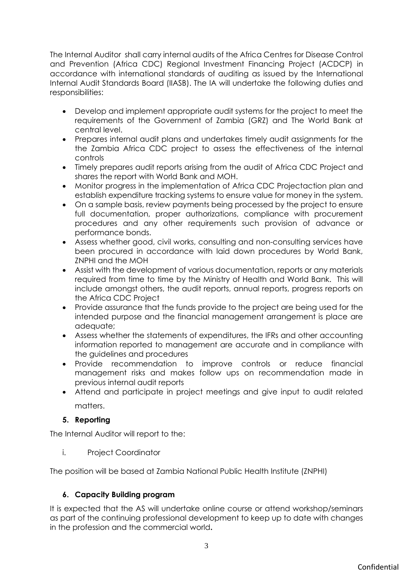The Internal Auditor shall carry internal audits of the Africa Centres for Disease Control and Prevention (Africa CDC) Regional Investment Financing Project (ACDCP) in accordance with international standards of auditing as issued by the International Internal Audit Standards Board (IIASB). The IA will undertake the following duties and responsibilities:

- Develop and implement appropriate audit systems for the project to meet the requirements of the Government of Zambia (GRZ) and The World Bank at central level.
- Prepares internal audit plans and undertakes timely audit assignments for the the Zambia Africa CDC project to assess the effectiveness of the internal controls
- Timely prepares audit reports arising from the audit of Africa CDC Project and shares the report with World Bank and MOH.
- Monitor progress in the implementation of Africa CDC Projectaction plan and establish expenditure tracking systems to ensure value for money in the system.
- On a sample basis, review payments being processed by the project to ensure full documentation, proper authorizations, compliance with procurement procedures and any other requirements such provision of advance or performance bonds.
- Assess whether good, civil works, consulting and non-consulting services have been procured in accordance with laid down procedures by World Bank, ZNPHI and the MOH
- Assist with the development of various documentation, reports or any materials required from time to time by the Ministry of Health and World Bank. This will include amongst others, the audit reports, annual reports, progress reports on the Africa CDC Project
- Provide assurance that the funds provide to the project are being used for the intended purpose and the financial management arrangement is place are adequate;
- Assess whether the statements of expenditures, the IFRs and other accounting information reported to management are accurate and in compliance with the guidelines and procedures
- Provide recommendation to improve controls or reduce financial management risks and makes follow ups on recommendation made in previous internal audit reports
- Attend and participate in project meetings and give input to audit related matters.

# **5. Reporting**

The Internal Auditor will report to the:

i. Project Coordinator

The position will be based at Zambia National Public Health Institute (ZNPHI)

# **6. Capacity Building program**

It is expected that the AS will undertake online course or attend workshop/seminars as part of the continuing professional development to keep up to date with changes in the profession and the commercial world**.**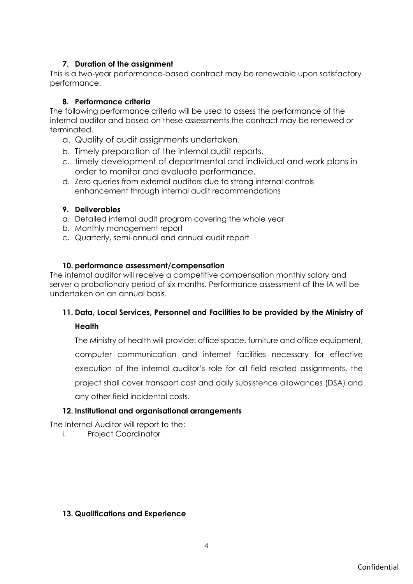## **7. Duration of the assignment**

This is a two-year performance-based contract may be renewable upon satisfactory performance.

## **8. Performance criteria**

The following performance criteria will be used to assess the performance of the internal auditor and based on these assessments the contract may be renewed or terminated.

- a. Quality of audit assignments undertaken.
- b. Timely preparation of the internal audit reports.
- c. timely development of departmental and individual and work plans in order to monitor and evaluate performance.
- d. Zero queries from external auditors due to strong internal controls enhancement through internal audit recommendations

### **9. Deliverables**

- a. Detailed internal audit program covering the whole year
- b. Monthly management report
- c. Quarterly, semi-annual and annual audit report

#### **10. performance assessment/compensation**

The internal auditor will receive a competitive compensation monthly salary and server a probationary period of six months. Performance assessment of the IA will be undertaken on an annual basis.

# **11. Data, Local Services, Personnel and Facilities to be provided by the Ministry of**

### **Health**

The Ministry of health will provide: office space, furniture and office equipment, computer communication and internet facilities necessary for effective execution of the internal auditor's role for all field related assignments, the project shall cover transport cost and daily subsistence allowances (DSA) and any other field incidental costs.

### **12. Institutional and organisational arrangements**

The Internal Auditor will report to the:

i. Project Coordinator

#### **13. Qualifications and Experience**